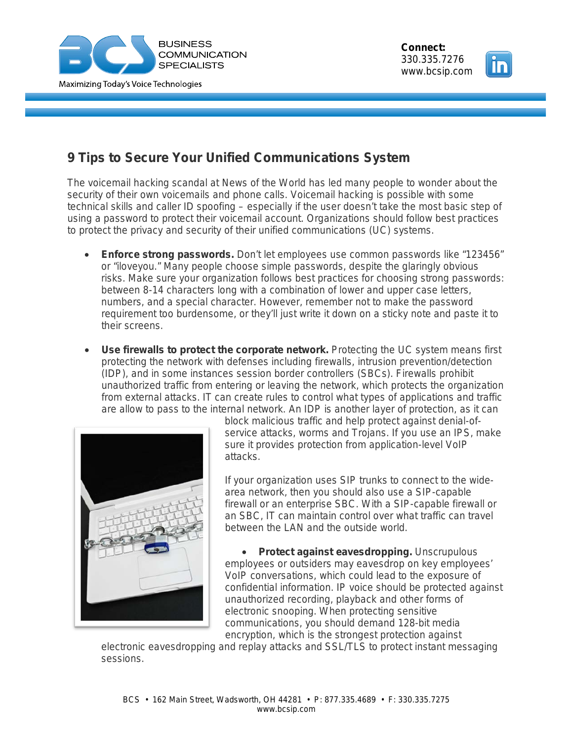



## **9 Tips to Secure Your Unified Communications System**

The voicemail hacking scandal at News of the World has led many people to wonder about the security of their own voicemails and phone calls. Voicemail hacking is possible with some technical skills and caller ID spoofing – especially if the user doesn't take the most basic step of using a password to protect their voicemail account. Organizations should follow best practices to protect the privacy and security of their unified communications (UC) systems.

- **Enforce strong passwords.** Don't let employees use common passwords like "123456" or "iloveyou." Many people choose simple passwords, despite the glaringly obvious risks. Make sure your organization follows best practices for choosing strong passwords: between 8-14 characters long with a combination of lower and upper case letters, numbers, and a special character. However, remember not to make the password requirement too burdensome, or they'll just write it down on a sticky note and paste it to their screens.
- **Use firewalls to protect the corporate network.** Protecting the UC system means first protecting the network with defenses including firewalls, intrusion prevention/detection (IDP), and in some instances session border controllers (SBCs). Firewalls prohibit unauthorized traffic from entering or leaving the network, which protects the organization from external attacks. IT can create rules to control what types of applications and traffic are allow to pass to the internal network. An IDP is another layer of protection, as it can



block malicious traffic and help protect against denial-ofservice attacks, worms and Trojans. If you use an IPS, make sure it provides protection from application-level VoIP attacks.

If your organization uses SIP trunks to connect to the widearea network, then you should also use a SIP-capable firewall or an enterprise SBC. With a SIP-capable firewall or an SBC, IT can maintain control over what traffic can travel between the LAN and the outside world.

• **Protect against eavesdropping.** Unscrupulous employees or outsiders may eavesdrop on key employees' VoIP conversations, which could lead to the exposure of confidential information. IP voice should be protected against unauthorized recording, playback and other forms of electronic snooping. When protecting sensitive communications, you should demand 128-bit media encryption, which is the strongest protection against

electronic eavesdropping and replay attacks and SSL/TLS to protect instant messaging sessions.